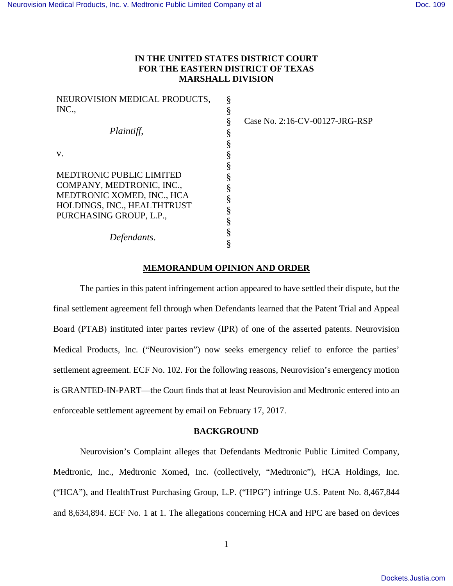# **IN THE UNITED STATES DISTRICT COURT FOR THE EASTERN DISTRICT OF TEXAS MARSHALL DIVISION**

| NEUROVISION MEDICAL PRODUCTS,   | ş |
|---------------------------------|---|
| INC.,                           | § |
|                                 | § |
| Plaintiff,                      | § |
|                                 | § |
| V.                              | § |
|                                 | § |
| <b>MEDTRONIC PUBLIC LIMITED</b> | § |
| COMPANY, MEDTRONIC, INC.,       | § |
| MEDTRONIC XOMED, INC., HCA      | § |
| HOLDINGS, INC., HEALTHTRUST     |   |
| PURCHASING GROUP, L.P.,         | § |
|                                 | § |
| Defendants.                     | § |
|                                 | § |

Case No. 2:16-CV-00127-JRG-RSP

## **MEMORANDUM OPINION AND ORDER**

The parties in this patent infringement action appeared to have settled their dispute, but the final settlement agreement fell through when Defendants learned that the Patent Trial and Appeal Board (PTAB) instituted inter partes review (IPR) of one of the asserted patents. Neurovision Medical Products, Inc. ("Neurovision") now seeks emergency relief to enforce the parties' settlement agreement. ECF No. 102. For the following reasons, Neurovision's emergency motion is GRANTED-IN-PART—the Court finds that at least Neurovision and Medtronic entered into an enforceable settlement agreement by email on February 17, 2017.

### **BACKGROUND**

Neurovision's Complaint alleges that Defendants Medtronic Public Limited Company, Medtronic, Inc., Medtronic Xomed, Inc. (collectively, "Medtronic"), HCA Holdings, Inc. ("HCA"), and HealthTrust Purchasing Group, L.P. ("HPG") infringe U.S. Patent No. 8,467,844 and 8,634,894. ECF No. 1 at 1. The allegations concerning HCA and HPC are based on devices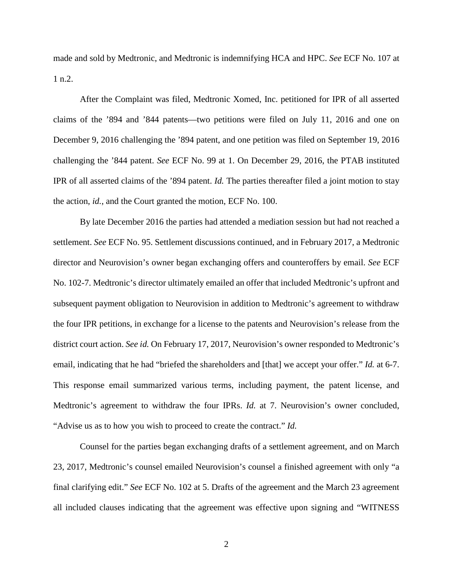made and sold by Medtronic, and Medtronic is indemnifying HCA and HPC. *See* ECF No. 107 at 1 n.2.

After the Complaint was filed, Medtronic Xomed, Inc. petitioned for IPR of all asserted claims of the '894 and '844 patents—two petitions were filed on July 11, 2016 and one on December 9, 2016 challenging the '894 patent, and one petition was filed on September 19, 2016 challenging the '844 patent. *See* ECF No. 99 at 1. On December 29, 2016, the PTAB instituted IPR of all asserted claims of the '894 patent. *Id.* The parties thereafter filed a joint motion to stay the action, *id.*, and the Court granted the motion, ECF No. 100.

By late December 2016 the parties had attended a mediation session but had not reached a settlement. *See* ECF No. 95. Settlement discussions continued, and in February 2017, a Medtronic director and Neurovision's owner began exchanging offers and counteroffers by email. *See* ECF No. 102-7. Medtronic's director ultimately emailed an offer that included Medtronic's upfront and subsequent payment obligation to Neurovision in addition to Medtronic's agreement to withdraw the four IPR petitions, in exchange for a license to the patents and Neurovision's release from the district court action. *See id.* On February 17, 2017, Neurovision's owner responded to Medtronic's email, indicating that he had "briefed the shareholders and [that] we accept your offer." *Id.* at 6-7. This response email summarized various terms, including payment, the patent license, and Medtronic's agreement to withdraw the four IPRs. *Id.* at 7. Neurovision's owner concluded, "Advise us as to how you wish to proceed to create the contract." *Id.*

Counsel for the parties began exchanging drafts of a settlement agreement, and on March 23, 2017, Medtronic's counsel emailed Neurovision's counsel a finished agreement with only "a final clarifying edit." *See* ECF No. 102 at 5. Drafts of the agreement and the March 23 agreement all included clauses indicating that the agreement was effective upon signing and "WITNESS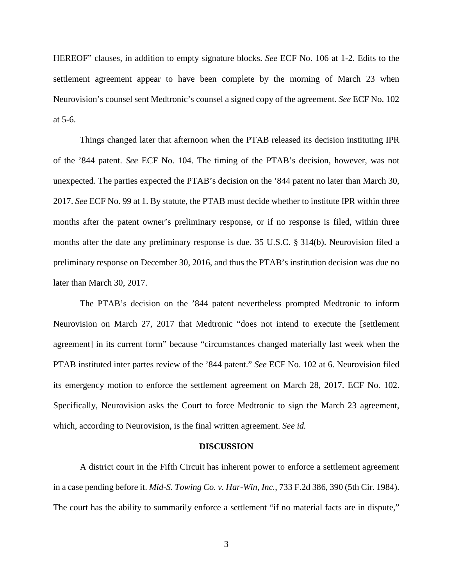HEREOF" clauses, in addition to empty signature blocks. *See* ECF No. 106 at 1-2. Edits to the settlement agreement appear to have been complete by the morning of March 23 when Neurovision's counsel sent Medtronic's counsel a signed copy of the agreement. *See* ECF No. 102 at 5-6.

Things changed later that afternoon when the PTAB released its decision instituting IPR of the '844 patent. *See* ECF No. 104. The timing of the PTAB's decision, however, was not unexpected. The parties expected the PTAB's decision on the '844 patent no later than March 30, 2017. *See* ECF No. 99 at 1. By statute, the PTAB must decide whether to institute IPR within three months after the patent owner's preliminary response, or if no response is filed, within three months after the date any preliminary response is due. 35 U.S.C. § 314(b). Neurovision filed a preliminary response on December 30, 2016, and thus the PTAB's institution decision was due no later than March 30, 2017.

The PTAB's decision on the '844 patent nevertheless prompted Medtronic to inform Neurovision on March 27, 2017 that Medtronic "does not intend to execute the [settlement agreement] in its current form" because "circumstances changed materially last week when the PTAB instituted inter partes review of the '844 patent." *See* ECF No. 102 at 6. Neurovision filed its emergency motion to enforce the settlement agreement on March 28, 2017. ECF No. 102. Specifically, Neurovision asks the Court to force Medtronic to sign the March 23 agreement, which, according to Neurovision, is the final written agreement. *See id.*

#### **DISCUSSION**

A district court in the Fifth Circuit has inherent power to enforce a settlement agreement in a case pending before it. *Mid-S. Towing Co. v. Har-Win, Inc.*, 733 F.2d 386, 390 (5th Cir. 1984). The court has the ability to summarily enforce a settlement "if no material facts are in dispute,"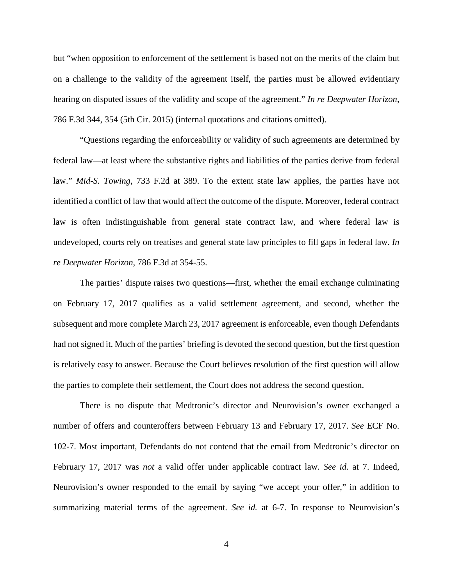but "when opposition to enforcement of the settlement is based not on the merits of the claim but on a challenge to the validity of the agreement itself, the parties must be allowed evidentiary hearing on disputed issues of the validity and scope of the agreement." *In re Deepwater Horizon*, 786 F.3d 344, 354 (5th Cir. 2015) (internal quotations and citations omitted).

"Questions regarding the enforceability or validity of such agreements are determined by federal law—at least where the substantive rights and liabilities of the parties derive from federal law." *Mid-S. Towing*, 733 F.2d at 389. To the extent state law applies, the parties have not identified a conflict of law that would affect the outcome of the dispute. Moreover, federal contract law is often indistinguishable from general state contract law, and where federal law is undeveloped, courts rely on treatises and general state law principles to fill gaps in federal law. *In re Deepwater Horizon*, 786 F.3d at 354-55.

The parties' dispute raises two questions—first, whether the email exchange culminating on February 17, 2017 qualifies as a valid settlement agreement, and second, whether the subsequent and more complete March 23, 2017 agreement is enforceable, even though Defendants had not signed it. Much of the parties' briefing is devoted the second question, but the first question is relatively easy to answer. Because the Court believes resolution of the first question will allow the parties to complete their settlement, the Court does not address the second question.

There is no dispute that Medtronic's director and Neurovision's owner exchanged a number of offers and counteroffers between February 13 and February 17, 2017. *See* ECF No. 102-7. Most important, Defendants do not contend that the email from Medtronic's director on February 17, 2017 was *not* a valid offer under applicable contract law. *See id.* at 7. Indeed, Neurovision's owner responded to the email by saying "we accept your offer," in addition to summarizing material terms of the agreement. *See id.* at 6-7. In response to Neurovision's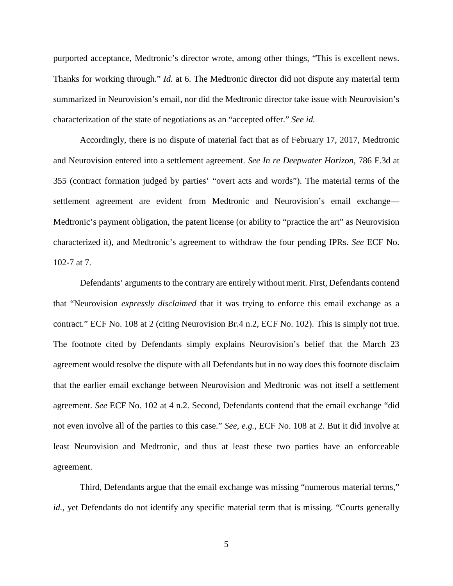purported acceptance, Medtronic's director wrote, among other things, "This is excellent news. Thanks for working through." *Id.* at 6. The Medtronic director did not dispute any material term summarized in Neurovision's email, nor did the Medtronic director take issue with Neurovision's characterization of the state of negotiations as an "accepted offer." *See id.*

Accordingly, there is no dispute of material fact that as of February 17, 2017, Medtronic and Neurovision entered into a settlement agreement. *See In re Deepwater Horizon*, 786 F.3d at 355 (contract formation judged by parties' "overt acts and words"). The material terms of the settlement agreement are evident from Medtronic and Neurovision's email exchange— Medtronic's payment obligation, the patent license (or ability to "practice the art" as Neurovision characterized it), and Medtronic's agreement to withdraw the four pending IPRs. *See* ECF No. 102-7 at 7.

Defendants' arguments to the contrary are entirely without merit. First, Defendants contend that "Neurovision *expressly disclaimed* that it was trying to enforce this email exchange as a contract." ECF No. 108 at 2 (citing Neurovision Br.4 n.2, ECF No. 102). This is simply not true. The footnote cited by Defendants simply explains Neurovision's belief that the March 23 agreement would resolve the dispute with all Defendants but in no way does this footnote disclaim that the earlier email exchange between Neurovision and Medtronic was not itself a settlement agreement. *See* ECF No. 102 at 4 n.2. Second, Defendants contend that the email exchange "did not even involve all of the parties to this case." *See, e.g.*, ECF No. 108 at 2. But it did involve at least Neurovision and Medtronic, and thus at least these two parties have an enforceable agreement.

Third, Defendants argue that the email exchange was missing "numerous material terms," *id.*, yet Defendants do not identify any specific material term that is missing. "Courts generally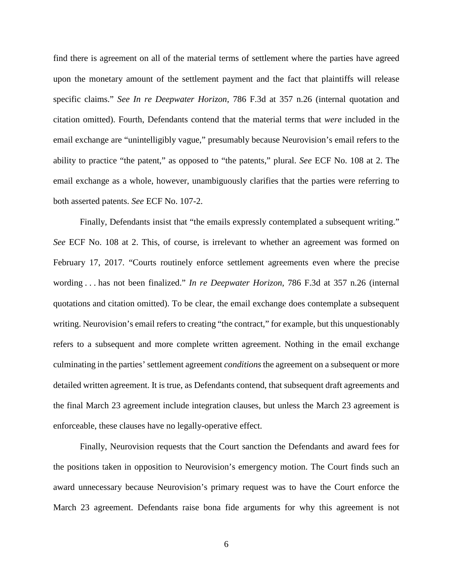find there is agreement on all of the material terms of settlement where the parties have agreed upon the monetary amount of the settlement payment and the fact that plaintiffs will release specific claims." *See In re Deepwater Horizon*, 786 F.3d at 357 n.26 (internal quotation and citation omitted). Fourth, Defendants contend that the material terms that *were* included in the email exchange are "unintelligibly vague," presumably because Neurovision's email refers to the ability to practice "the patent," as opposed to "the patents," plural. *See* ECF No. 108 at 2. The email exchange as a whole, however, unambiguously clarifies that the parties were referring to both asserted patents. *See* ECF No. 107-2.

Finally, Defendants insist that "the emails expressly contemplated a subsequent writing." *See* ECF No. 108 at 2. This, of course, is irrelevant to whether an agreement was formed on February 17, 2017. "Courts routinely enforce settlement agreements even where the precise wording . . . has not been finalized." *In re Deepwater Horizon*, 786 F.3d at 357 n.26 (internal quotations and citation omitted). To be clear, the email exchange does contemplate a subsequent writing. Neurovision's email refers to creating "the contract," for example, but this unquestionably refers to a subsequent and more complete written agreement. Nothing in the email exchange culminating in the parties' settlement agreement *conditions* the agreement on a subsequent or more detailed written agreement. It is true, as Defendants contend, that subsequent draft agreements and the final March 23 agreement include integration clauses, but unless the March 23 agreement is enforceable, these clauses have no legally-operative effect.

Finally, Neurovision requests that the Court sanction the Defendants and award fees for the positions taken in opposition to Neurovision's emergency motion. The Court finds such an award unnecessary because Neurovision's primary request was to have the Court enforce the March 23 agreement. Defendants raise bona fide arguments for why this agreement is not